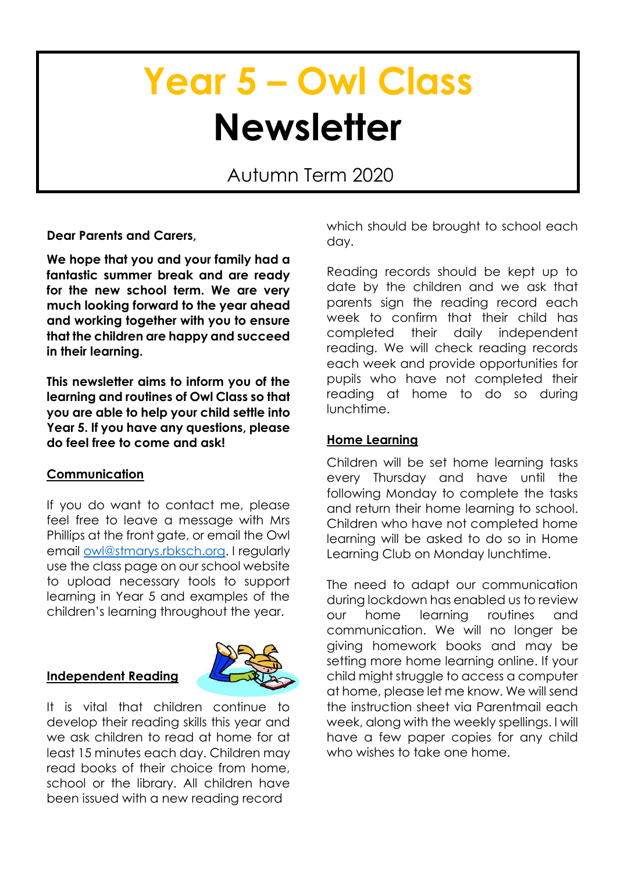# **Year 5 – Owl Class Newsletter**

Autumn Term 2020

**Dear Parents and Carers,**

**We hope that you and your family had a fantastic summer break and are ready for the new school term. We are very much looking forward to the year ahead and working together with you to ensure that the children are happy and succeed in their learning.**

**This newsletter aims to inform you of the learning and routines of Owl Class so that you are able to help your child settle into Year 5. If you have any questions, please do feel free to come and ask!**

## **Communication**

If you do want to contact me, please feel free to leave a message with Mrs Phillips at the front gate, or email the Owl email [owl@stmarys.rbksch.org.](mailto:owl@stmarys.rbksch.org) I regularly use the class page on our school website to upload necessary tools to support learning in Year 5 and examples of the children's learning throughout the year.

## **Independent Reading**



It is vital that children continue to develop their reading skills this year and we ask children to read at home for at least 15 minutes each day. Children may read books of their choice from home, school or the library. All children have been issued with a new reading record

which should be brought to school each day.

Reading records should be kept up to date by the children and we ask that parents sign the reading record each week to confirm that their child has completed their daily independent reading. We will check reading records each week and provide opportunities for pupils who have not completed their reading at home to do so during lunchtime.

## **Home Learning**

Children will be set home learning tasks every Thursday and have until the following Monday to complete the tasks and return their home learning to school. Children who have not completed home learning will be asked to do so in Home Learning Club on Monday lunchtime.

The need to adapt our communication during lockdown has enabled us to review our home learning routines and communication. We will no longer be giving homework books and may be setting more home learning online. If your child might struggle to access a computer at home, please let me know. We will send the instruction sheet via Parentmail each week, along with the weekly spellings. I will have a few paper copies for any child who wishes to take one home.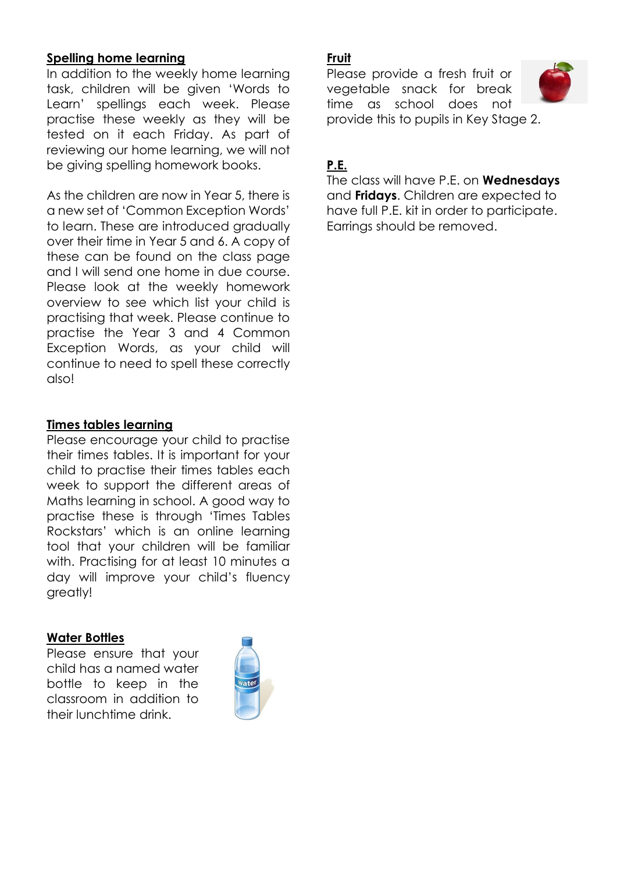## **Spelling home learning**

In addition to the weekly home learning task, children will be given 'Words to Learn' spellings each week. Please practise these weekly as they will be tested on it each Friday. As part of reviewing our home learning, we will not be giving spelling homework books.

As the children are now in Year 5, there is a new set of 'Common Exception Words' to learn. These are introduced gradually over their time in Year 5 and 6. A copy of these can be found on the class page and I will send one home in due course. Please look at the weekly homework overview to see which list your child is practising that week. Please continue to practise the Year 3 and 4 Common Exception Words, as your child will continue to need to spell these correctly also!

### **Times tables learning**

Please encourage your child to practise their times tables. It is important for your child to practise their times tables each week to support the different areas of Maths learning in school. A good way to practise these is through 'Times Tables Rockstars' which is an online learning tool that your children will be familiar with. Practising for at least 10 minutes a day will improve your child's fluency greatly!

#### **Water Bottles**

Please ensure that your child has a named water bottle to keep in the classroom in addition to their lunchtime drink.



## **Fruit**

Please provide a fresh fruit or vegetable snack for break time as school does not provide this to pupils in Key Stage 2.



# **P.E.**

The class will have P.E. on **Wednesdays** and **Fridays**. Children are expected to have full P.E. kit in order to participate. Earrings should be removed.